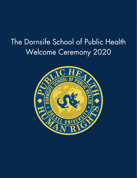# The Dornsife School of Public Health Welcome Ceremony 2020

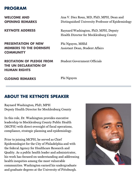# PROGRAM

WELCOME AND OPENING REMARKS

KEYNOTE ADDRESS

**COMMUNITY** 

PRESENTATION OF NEW

MEMBERS TO THE DORNSIFE

Ana V. Diez Roux, MD, PhD, MPH, Dean and Distinguished University Professor of Epidemiology

Raynard Washington, PhD, MPH, Deputy Health Director for Mecklenburg County

Phi Nguyen, MSEd Assistant Dean, Student Affairs

RECITATION OF PLEDGE FROM THE UN DECLARATION OF HUMAN RIGHTS

Student Government Officials

CLOSING REMARKS

Phi Nguyen

# ABOUT THE KEYNOTE SPEAKER

Raynard Washington, PhD, MPH Deputy Health Director for Mecklenburg County

In this role, Dr. Washington provides executive leadership to Mecklenburg County Public Health (MCPH) with direct oversight of fiscal operations, compliance, strategic planning and epidemiology.

Prior to joining MCPH, he served as Chief Epidemiologist for the City of Philadelphia and with the federal Agency for Healthcare Research and Quality. As a public health leader and administrator, his work has focused on understanding and addressing health inequities among the most vulnerable communities. Washington earned his undergraduate and graduate degrees at the University of Pittsburgh.

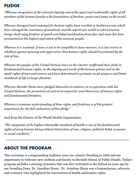# PLEDGE

"Whereas recognition of the inherent dignity and of the equal and inalienable rights of all members of the human family is the foundation of freedom, justice and peace in the world,

Whereas disregard and contempt for human rights have resulted in barbarous acts which have outraged the conscience of mankind, and the advent of a world in which human beings shall enjoy freedom of speech and belief and freedom from fear and want has been proclaimed as the highest aspiration of the common people,

Whereas it is essential, if man is not to be compelled to have recourse, as a last resort, to rebellion against tyranny and oppression, that human rights should be protected by the rule of law,

Whereas the peoples of the United Nations have in the Charter reaffirmed their faith in fundamental human rights, in the dignity and worth of the human person and in the equal rights of men and women and have determined to promote social progress and better standards of life in larger freedom,

Whereas Member States have pledged themselves to achieve, in co-operation with the United Nations, the promotion of universal respect for and observance of human rights and fundamental freedoms,

Whereas a common understanding of these rights and freedoms is of the greatest importance for the full realization of this pledge."

And from the Charter of the World Health Organization:

"The enjoyment of the highest attainable standard of health is one of the fundamental rights of every human being without distinction of race, religion, political belief, economic or social condition."

# ABOUT THE PROGRAM

This ceremony is a longstanding tradition since our school's founding in 1996 and our opportunity to welcome new students and faculty to Dornsife School of Public Health. Today's program includes a pinning ceremony that was first instituted at the School 24 years ago by our founding Dean, Dr. Jonathan Mann. Dr. Jonathan Mann was a humanitarian, advocate and visionary who highlighted the intersection of health and human rights.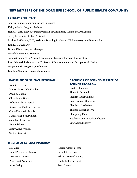## **NEW MEMBERS OF THE DORNSIFE SCHOOL OF PUBLIC HEALTH COMMUNITY**

#### **FACULTY AND STAFF**

Andrea Bolinga, Communications Specialist Kaitlyn Guild, Program Assistant Irene Headen, PhD, Assistant Professor of Community Health and Prevention Sandy Le, Administrative Assistant Michael LeVasseur, PhD, Assistant Teaching Professor of Epidemiology and Biostatistics Ran Li, Data Analyst Ijeoma Okere, Program Manager Meredith Rose, Lab Manager Ayden Scheim, PhD, Assistant Professor of Epidemiology and Biostatistics Leah Schinasi, PhD, Assistant Professor of Environmental and Occupational Health Megan Smith, Program Coordinator Karolina Wolnicki, Project Coordinator

#### **BACHELOR OF SCIENCE PROGRAM**

NatalieLieu Dao Maleah-Rose Callo Eusebio Paula A. Garcia Olivia Maja Kitlas Isabella Coletta Kopech Karaan Raj Madhup Kothari Claire Uzoamaka Mabia James Joseph McDonnell Jonathan Richman Samia Salman Emily Anne Wodock Stefan Zivanovic

## **BACHELOR OF SCIENCE/ MASTER OF SCIENCE PROGRAM**

Isla M. Chapman Thaya A. Edmond Victoria Hazel Gallogly Liam Richard Giberson Elan Isaak Itschakov Thomas Patrick Morris Chanyeong Park Stephanie Oluwatobiloba Shosanya Ying Aaron St Cerny

#### **MASTER OF SCIENCE PROGRAM**

Hal Chen Isabel Pisawis De Ramos Kristina T. Dureja Pkaisayout Aron Eng Anna Feting

Hector Alfredo Moran Lassallete Newton AshtonLeGrand Raines Sarah Katherine Reed Asma Sharaf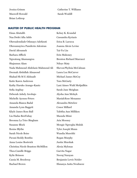Jessica Grimm Maxwell Howald Brian Lothrop

Catherine T. Williams Sarah Woidill

#### **MASTER OF PUBLIC HEALTH PROGRAM**

Einas Abutalib Naa Dedei Afia Addo Oluwademilade Odunayo Adefarati Oluwamuyiwa Pamilerin Adeniran David Afesumeh Barbara Affleck Ngwatung Akamangwa Shajumun Alam Nada Mahmoud Abdelaziz Mahmoud Ali Deemah Abdullah Almasoud Shahad Sh M E Alshuaib Katie Karen Anderson Kathy Haruko Arango-Kautz Sofia Argibay Deborah Ashely Awobajo Michelle Ayensu-Peters Amanda Bianca Badal Amanda Lynn Baggett Khyle James Ross Ball Lia Hadas BenYishay Breonna La Trice Bingham Suzanne Block Renise Blythe Sarah Nicole Boise Pavani Reddy Bonthu Anna Louise Bostwick Christina Nicole Branton-McMillon Thea-Camille Briggs Kylie Brinson Cassia M. Brockway Rachael Brown Kelsey K. Kvandal Cassandra Kyriazis Erica B. Larocca Joanna Alexis Levine Tai-Yu Liu Erin Mahoney Brenton Richard Marcucci Ndoye Maty ShevonPhylisia McCalman Laura Lea McCarver Michael James McCoy Tara McGarty Lani Aimee Wahl McQuilkin Sarah Jane Meighan Alysha Ann Melnyk MariahRose Menanno Alexandra Metelow Conor Millard Tabitha Ann Milliken Masuda Mimi Aria Mooney Mengie Ngwegha Muluh Tyler Joseph Munn Wandia Mureithi Regan Murphy Justin Murshak Alexia Mylonas Garvita Nagar Neeraj Narayan Benjamin Lewis Neider Ifunanya Anita Nwabueze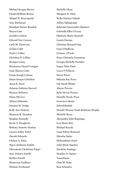Michael Keegan Brown CharlesWilliam Brown Abigail H. Browngoehl Amy Buchanan Khadijah Denise Bundick Mayra Cano Jennifer Carlson Edward Yaw Carsem Carly M. Cherwony Jordan Cobb Nyah I. Collier Christina D. Collins Deanjur Coney Shartearra Chanel Conigan Juan Marcos Cotto Frank Joseph Cottone Diane Ormyn Critchlow Anna R. Davis Zaharaa Fathima Davood Marissa DePativo Elana DiCocco Aldona DiSandro Damian M. Dodge Kelly Ann Doherty Shannon K. Donahue Meghan Donnelly Kevin A. Dougherty Brittney Donette Dunbar LaurenAshley Eckel Darrah Edwards Chelsea A. Elam Ngozi Anthonia Fadulu Oluwatosin Christiana Falayi Amy Dolores Fanelli Kaitlyn Farrell Khareema Faulkner Melanie Ferdinand

Michelle Obasi Margaret K. Obot Stella Onyinye Oduah Adiam Ogbagiorgis Saheedat Omoronike Olatinwo Gabriella Elkis O'Leary Oladoyin Marie Onawole Lunda Onesias Christian Bernard Ong Ciara O'Sullivan Corinne OToole Peace Chiemela Ozoemena Georgia Michelle Pardales Yagna Nitin Patel Lucca P Pelliccia Eboni Pelzer Mikaela Rae Perez Lily Sarah Pliskin Alayna Proctor Kylie Devon Prosser Danielle Nicole Pryor Genevieve Quaye SehrishRashid Donald Thomas Noah Redstone-Brophy Michelle Reece Alexandria Isbel Reguinga Lexi Marie Rice Michael Rocchi Liam Edwin Romond Djeneba Sacko MelissaSaint Cloud Julia Marie Sanchez Nicolette Santiago Heather D. Santos TanazSayan Chaz M. Scala Sara Schouten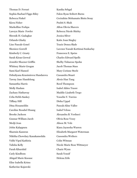Thomas D. Ferrari Sophia Rachael Figgs-Riley Rebecca Finkel Kiera Fisher Markolline Forkpa Lawryn Marie Fowler Shrenik H. Gadagkar Orlando Glasby Line Pascale Gonel Sheniece Gorrell Kimberly C. Grasty Sarah Kiran Grewal Jennifer Shoener Griffin Whitney Marie Grogan Sami Karl Hamed Dzhuliyana Krasimirova Handarova Tawny Jane Handelong Samantha Harris Molly Haslam Zachary Hathaway Celia Hebb-Sankey Tiffany Hill Dina Hosameldin Caroline Rosabel Huang Brooke Jackson Gunnar William Jacob Medji Jean Jobin Kalappura Sharmin Kamrun Nikitha Chowdary Kanakamedala Vidhi Vipul Kathiria Talisha Kelly Farah Khurshid Carly Kindbom Abigail Marie Knouse Elise Isabella Krims Katherine Kujawski

Kanika Sehgal Falon Ryan Seibert-Burns Cecirahim Mohamatu Bintu Sesay Pushti S. Shah Afton Olevia Shavers Rebecca Nicole Shirley Jessica Silver Katie Joan Singley Tracie Denea Slade Lavenes Yassah Kortimai Sonkarlay Francesca E. Speiss Charles Edward Spells Shelby Tisharose Spohn Jacob Thomas Stass Mary Corinne Steele Cassandra Stuart Alexis Han Tang Reed Thompson Isabel Alden Traore Maddie Lizabeth Trego Yosselin Y. Turcios Disha Uppal PascaleAline Vallee Isabel Velosa Alexandra B. Verducci Olivia Rose Vesey Alison M. Volz Kiara Jaynesha Warren Elizabeth Margaret Waterman Cassondra Wethers Colin Witman Nicole Marie Rose Wittmeyer Charis Wynn Sarah Yousif Helena Zrile